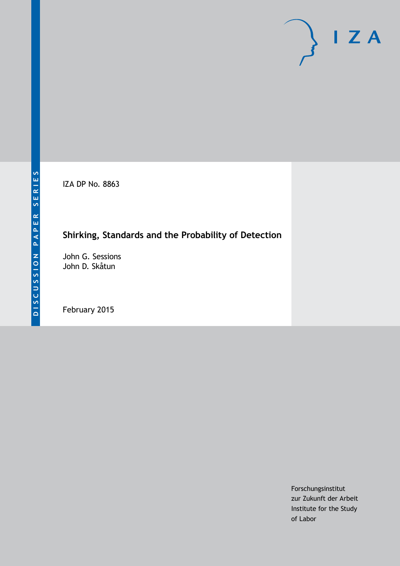IZA DP No. 8863

# **Shirking, Standards and the Probability of Detection**

John G. Sessions John D. Skåtun

February 2015

Forschungsinstitut zur Zukunft der Arbeit Institute for the Study of Labor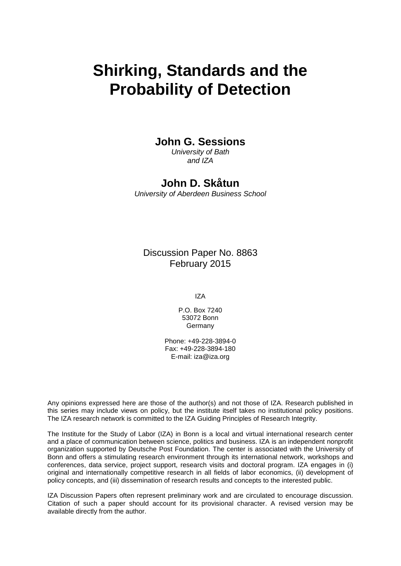# **Shirking, Standards and the Probability of Detection**

## **John G. Sessions**

*University of Bath and IZA*

## **John D. Skåtun**

*University of Aberdeen Business School*

Discussion Paper No. 8863 February 2015

IZA

P.O. Box 7240 53072 Bonn Germany

Phone: +49-228-3894-0 Fax: +49-228-3894-180 E-mail: [iza@iza.org](mailto:iza@iza.org)

Any opinions expressed here are those of the author(s) and not those of IZA. Research published in this series may include views on policy, but the institute itself takes no institutional policy positions. The IZA research network is committed to the IZA Guiding Principles of Research Integrity.

The Institute for the Study of Labor (IZA) in Bonn is a local and virtual international research center and a place of communication between science, politics and business. IZA is an independent nonprofit organization supported by Deutsche Post Foundation. The center is associated with the University of Bonn and offers a stimulating research environment through its international network, workshops and conferences, data service, project support, research visits and doctoral program. IZA engages in (i) original and internationally competitive research in all fields of labor economics, (ii) development of policy concepts, and (iii) dissemination of research results and concepts to the interested public.

IZA Discussion Papers often represent preliminary work and are circulated to encourage discussion. Citation of such a paper should account for its provisional character. A revised version may be available directly from the author.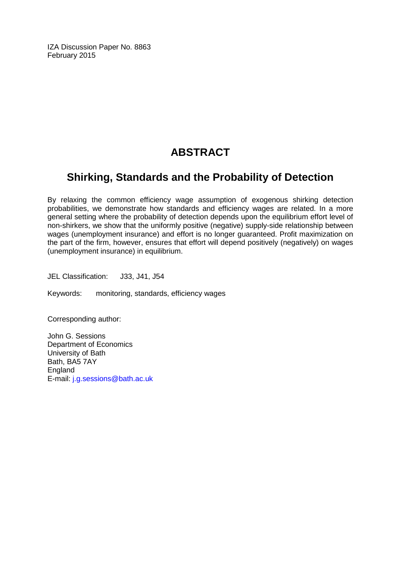IZA Discussion Paper No. 8863 February 2015

# **ABSTRACT**

## **Shirking, Standards and the Probability of Detection**

By relaxing the common efficiency wage assumption of exogenous shirking detection probabilities, we demonstrate how standards and efficiency wages are related. In a more general setting where the probability of detection depends upon the equilibrium effort level of non-shirkers, we show that the uniformly positive (negative) supply-side relationship between wages (unemployment insurance) and effort is no longer guaranteed. Profit maximization on the part of the firm, however, ensures that effort will depend positively (negatively) on wages (unemployment insurance) in equilibrium.

JEL Classification: J33, J41, J54

Keywords: monitoring, standards, efficiency wages

Corresponding author:

John G. Sessions Department of Economics University of Bath Bath, BA5 7AY England E-mail: [j.g.sessions@bath.ac.uk](mailto:j.g.sessions@bath.ac.uk)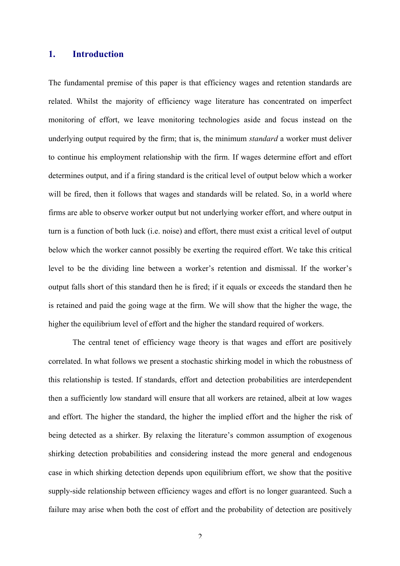#### **1. Introduction**

The fundamental premise of this paper is that efficiency wages and retention standards are related. Whilst the majority of efficiency wage literature has concentrated on imperfect monitoring of effort, we leave monitoring technologies aside and focus instead on the underlying output required by the firm; that is, the minimum *standard* a worker must deliver to continue his employment relationship with the firm. If wages determine effort and effort determines output, and if a firing standard is the critical level of output below which a worker will be fired, then it follows that wages and standards will be related. So, in a world where firms are able to observe worker output but not underlying worker effort, and where output in turn is a function of both luck (i.e. noise) and effort, there must exist a critical level of output below which the worker cannot possibly be exerting the required effort. We take this critical level to be the dividing line between a worker's retention and dismissal. If the worker's output falls short of this standard then he is fired; if it equals or exceeds the standard then he is retained and paid the going wage at the firm. We will show that the higher the wage, the higher the equilibrium level of effort and the higher the standard required of workers.

The central tenet of efficiency wage theory is that wages and effort are positively correlated. In what follows we present a stochastic shirking model in which the robustness of this relationship is tested. If standards, effort and detection probabilities are interdependent then a sufficiently low standard will ensure that all workers are retained, albeit at low wages and effort. The higher the standard, the higher the implied effort and the higher the risk of being detected as a shirker. By relaxing the literature's common assumption of exogenous shirking detection probabilities and considering instead the more general and endogenous case in which shirking detection depends upon equilibrium effort, we show that the positive supply-side relationship between efficiency wages and effort is no longer guaranteed. Such a failure may arise when both the cost of effort and the probability of detection are positively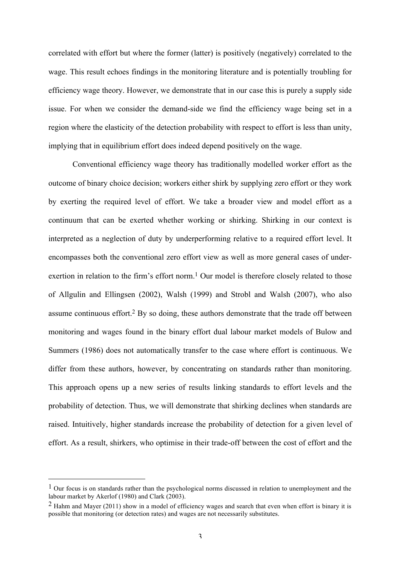correlated with effort but where the former (latter) is positively (negatively) correlated to the wage. This result echoes findings in the monitoring literature and is potentially troubling for efficiency wage theory. However, we demonstrate that in our case this is purely a supply side issue. For when we consider the demand-side we find the efficiency wage being set in a region where the elasticity of the detection probability with respect to effort is less than unity, implying that in equilibrium effort does indeed depend positively on the wage.

Conventional efficiency wage theory has traditionally modelled worker effort as the outcome of binary choice decision; workers either shirk by supplying zero effort or they work by exerting the required level of effort. We take a broader view and model effort as a continuum that can be exerted whether working or shirking. Shirking in our context is interpreted as a neglection of duty by underperforming relative to a required effort level. It encompasses both the conventional zero effort view as well as more general cases of underexertion in relation to the firm's effort norm.<sup>1</sup> Our model is therefore closely related to those of Allgulin and Ellingsen (2002), Walsh (1999) and Strobl and Walsh (2007), who also assume continuous effort.2 By so doing, these authors demonstrate that the trade off between monitoring and wages found in the binary effort dual labour market models of Bulow and Summers (1986) does not automatically transfer to the case where effort is continuous. We differ from these authors, however, by concentrating on standards rather than monitoring. This approach opens up a new series of results linking standards to effort levels and the probability of detection. Thus, we will demonstrate that shirking declines when standards are raised. Intuitively, higher standards increase the probability of detection for a given level of effort. As a result, shirkers, who optimise in their trade-off between the cost of effort and the

 

 $<sup>1</sup>$  Our focus is on standards rather than the psychological norms discussed in relation to unemployment and the</sup> labour market by Akerlof (1980) and Clark (2003).

<sup>2</sup> Hahm and Mayer (2011) show in a model of efficiency wages and search that even when effort is binary it is possible that monitoring (or detection rates) and wages are not necessarily substitutes.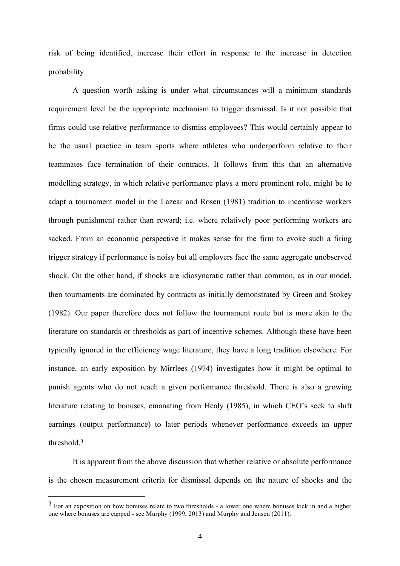risk of being identified, increase their effort in response to the increase in detection probability.

A question worth asking is under what circumstances will a minimum standards requirement level be the appropriate mechanism to trigger dismissal. Is it not possible that firms could use relative performance to dismiss employees? This would certainly appear to be the usual practice in team sports where athletes who underperform relative to their teammates face termination of their contracts. It follows from this that an alternative modelling strategy, in which relative performance plays a more prominent role, might be to adapt a tournament model in the Lazear and Rosen (1981) tradition to incentivise workers through punishment rather than reward; i.e. where relatively poor performing workers are sacked. From an economic perspective it makes sense for the firm to evoke such a firing trigger strategy if performance is noisy but all employers face the same aggregate unobserved shock. On the other hand, if shocks are idiosyncratic rather than common, as in our model, then tournaments are dominated by contracts as initially demonstrated by Green and Stokey (1982). Our paper therefore does not follow the tournament route but is more akin to the literature on standards or thresholds as part of incentive schemes. Although these have been typically ignored in the efficiency wage literature, they have a long tradition elsewhere. For instance, an early exposition by Mirrlees (1974) investigates how it might be optimal to punish agents who do not reach a given performance threshold. There is also a growing literature relating to bonuses, emanating from Healy (1985), in which CEO's seek to shift earnings (output performance) to later periods whenever performance exceeds an upper threshold.3

It is apparent from the above discussion that whether relative or absolute performance is the chosen measurement criteria for dismissal depends on the nature of shocks and the

<u> 1989 - Jan Samuel Barbara, margaret e</u>

<sup>&</sup>lt;sup>3</sup> For an exposition on how bonuses relate to two thresholds - a lower one where bonuses kick in and a higher one where bonuses are capped - see Murphy (1999, 2013) and Murphy and Jensen (2011).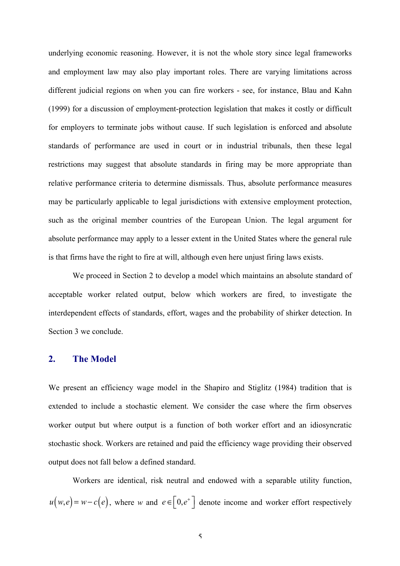underlying economic reasoning. However, it is not the whole story since legal frameworks and employment law may also play important roles. There are varying limitations across different judicial regions on when you can fire workers - see, for instance, Blau and Kahn (1999) for a discussion of employment-protection legislation that makes it costly or difficult for employers to terminate jobs without cause. If such legislation is enforced and absolute standards of performance are used in court or in industrial tribunals, then these legal restrictions may suggest that absolute standards in firing may be more appropriate than relative performance criteria to determine dismissals. Thus, absolute performance measures may be particularly applicable to legal jurisdictions with extensive employment protection, such as the original member countries of the European Union. The legal argument for absolute performance may apply to a lesser extent in the United States where the general rule is that firms have the right to fire at will, although even here unjust firing laws exists.

We proceed in Section 2 to develop a model which maintains an absolute standard of acceptable worker related output, below which workers are fired, to investigate the interdependent effects of standards, effort, wages and the probability of shirker detection. In Section 3 we conclude.

#### **2. The Model**

We present an efficiency wage model in the Shapiro and Stiglitz (1984) tradition that is extended to include a stochastic element. We consider the case where the firm observes worker output but where output is a function of both worker effort and an idiosyncratic stochastic shock. Workers are retained and paid the efficiency wage providing their observed output does not fall below a defined standard.

Workers are identical, risk neutral and endowed with a separable utility function,  $u(w,e) = w - c(e)$ , where *w* and  $e \in [0,e^+]$  denote income and worker effort respectively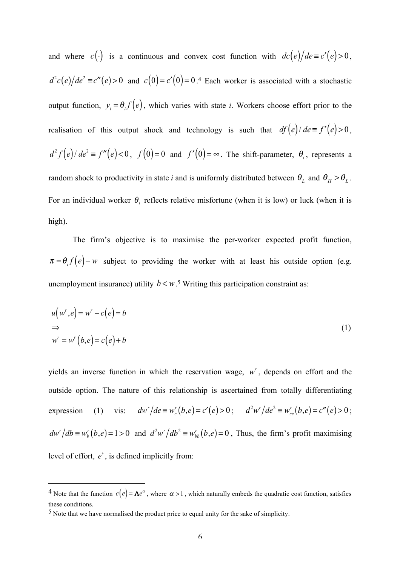and where  $c(\cdot)$  is a continuous and convex cost function with  $dc(e)/de \equiv c'(e) > 0$ ,  $d^2c(e)/de^2 \equiv c''(e) > 0$  and  $c(0) = c'(0) = 0.4$  Each worker is associated with a stochastic output function,  $y_i = \theta_i f(e)$ , which varies with state *i*. Workers choose effort prior to the realisation of this output shock and technology is such that  $df(e)/de \equiv f'(e) > 0$ ,  $d^2 f(e)/de^2 \equiv f''(e) < 0$ ,  $f(0)=0$  and  $f'(0)=\infty$ . The shift-parameter,  $\theta_i$ , represents a random shock to productivity in state *i* and is uniformly distributed between  $\theta_L$  and  $\theta_H > \theta_L$ . For an individual worker  $\theta_i$  reflects relative misfortune (when it is low) or luck (when it is high).

The firm's objective is to maximise the per-worker expected profit function,  $\pi = \theta_i f(e) - w$  subject to providing the worker with at least his outside option (e.g. unemployment insurance) utility  $b < w$ .<sup>5</sup> Writing this participation constraint as:

$$
u(w^r, e) = w^r - c(e) = b
$$
  
\n
$$
\Rightarrow
$$
  
\n
$$
w^r = w^r(b, e) = c(e) + b
$$
\n(1)

yields an inverse function in which the reservation wage, *w<sup>r</sup>* , depends on effort and the outside option. The nature of this relationship is ascertained from totally differentiating expression (1) vis:  $dw^{r}/de \equiv w_{e}^{r}(b,e) = c'(e) > 0$ ;  $d^{2}w^{r}/de^{2} \equiv w_{ee}^{r}(b,e) = c''(e) > 0$ ;  $dw^r/db \equiv w_b^r(b,e) = 1 > 0$  and  $d^2w^r/db^2 \equiv w_{bb}^r(b,e) = 0$ , Thus, the firm's profit maximising level of effort,  $e^*$ , is defined implicitly from:

<u> 1989 - Jan Samuel Barbara, margaret e</u>

<sup>&</sup>lt;sup>4</sup> Note that the function  $c(e) = Ae^{\alpha}$ , where  $\alpha > 1$ , which naturally embeds the quadratic cost function, satisfies these conditions.

<sup>5</sup> Note that we have normalised the product price to equal unity for the sake of simplicity.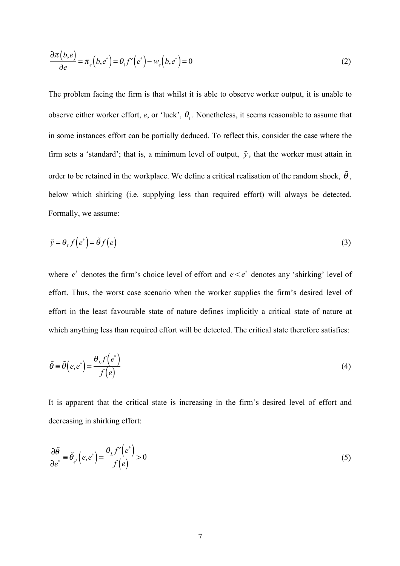$$
\frac{\partial \pi(b,e)}{\partial e} = \pi_e(b,e^*) = \theta_i f'(e^*) - w_e(b,e^*) = 0
$$
\n(2)

The problem facing the firm is that whilst it is able to observe worker output, it is unable to observe either worker effort, *e*, or 'luck', θ*<sup>i</sup>* . Nonetheless, it seems reasonable to assume that in some instances effort can be partially deduced. To reflect this, consider the case where the firm sets a 'standard'; that is, a minimum level of output,  $\tilde{y}$ , that the worker must attain in order to be retained in the workplace. We define a critical realisation of the random shock,  $\tilde{\theta}$ , below which shirking (i.e. supplying less than required effort) will always be detected. Formally, we assume:

$$
\tilde{y} = \theta_L f(e^*) = \tilde{\theta} f(e)
$$
\n(3)

where  $e^*$  denotes the firm's choice level of effort and  $e < e^*$  denotes any 'shirking' level of effort. Thus, the worst case scenario when the worker supplies the firm's desired level of effort in the least favourable state of nature defines implicitly a critical state of nature at which anything less than required effort will be detected. The critical state therefore satisfies:

$$
\tilde{\theta} \equiv \tilde{\theta} \Big( e, e^* \Big) = \frac{\theta_L f \Big( e^* \Big)}{f \Big( e \Big)} \tag{4}
$$

It is apparent that the critical state is increasing in the firm's desired level of effort and decreasing in shirking effort:

$$
\frac{\partial \tilde{\theta}}{\partial e^*} \equiv \tilde{\theta}_{e^*} \left( e, e^* \right) = \frac{\theta_L f' \left( e^* \right)}{f \left( e \right)} > 0 \tag{5}
$$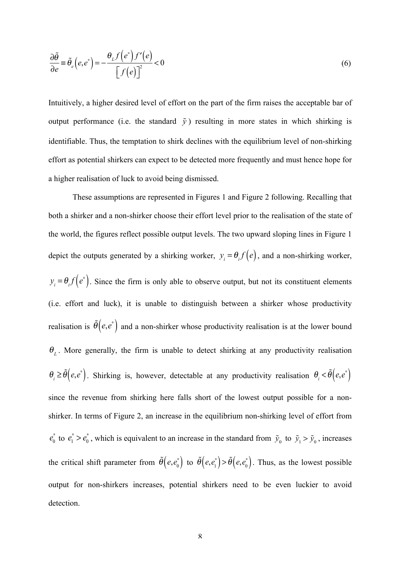$$
\frac{\partial \tilde{\theta}}{\partial e} = \tilde{\theta}_e \left( e, e^* \right) = -\frac{\theta_L f \left( e^* \right) f'(e)}{\left[ f \left( e \right) \right]^2} < 0 \tag{6}
$$

Intuitively, a higher desired level of effort on the part of the firm raises the acceptable bar of output performance (i.e. the standard  $\tilde{y}$ ) resulting in more states in which shirking is identifiable. Thus, the temptation to shirk declines with the equilibrium level of non-shirking effort as potential shirkers can expect to be detected more frequently and must hence hope for a higher realisation of luck to avoid being dismissed.

These assumptions are represented in Figures 1 and Figure 2 following. Recalling that both a shirker and a non-shirker choose their effort level prior to the realisation of the state of the world, the figures reflect possible output levels. The two upward sloping lines in Figure 1 depict the outputs generated by a shirking worker,  $y_i = \theta_i f(e)$ , and a non-shirking worker,  $y_i = \theta_i f(e^*)$ . Since the firm is only able to observe output, but not its constituent elements (i.e. effort and luck), it is unable to distinguish between a shirker whose productivity realisation is  $\tilde{\theta}(e,e^*)$  and a non-shirker whose productivity realisation is at the lower bound  $\theta$ <sub>l</sub>. More generally, the firm is unable to detect shirking at any productivity realisation  $\theta_i \geq \tilde{\theta}(e,e^*)$ . Shirking is, however, detectable at any productivity realisation  $\theta_i < \tilde{\theta}(e,e^*)$ since the revenue from shirking here falls short of the lowest output possible for a nonshirker. In terms of Figure 2, an increase in the equilibrium non-shirking level of effort from  $e_0^*$  to  $e_1^* > e_0^*$ , which is equivalent to an increase in the standard from  $\tilde{y}_0$  to  $\tilde{y}_1 > \tilde{y}_0$ , increases the critical shift parameter from  $\tilde{\theta}(e,e_0^*)$  to  $\tilde{\theta}(e,e_1^*) > \tilde{\theta}(e,e_0^*)$ . Thus, as the lowest possible output for non-shirkers increases, potential shirkers need to be even luckier to avoid detection.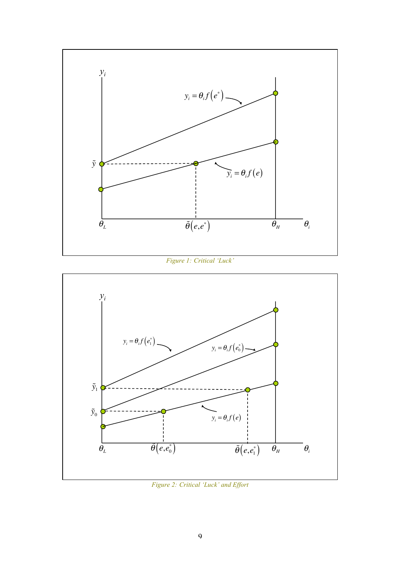

*Figure 1: Critical 'Luck'*



*Figure 2: Critical 'Luck' and Effort*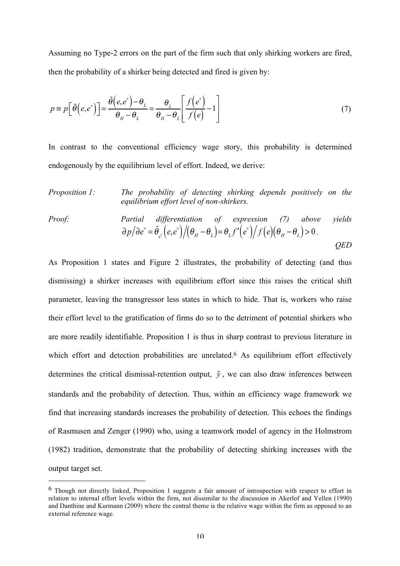Assuming no Type-2 errors on the part of the firm such that only shirking workers are fired, then the probability of a shirker being detected and fired is given by:

$$
p \equiv p \left[ \tilde{\theta} \left( e, e^* \right) \right] = \frac{\tilde{\theta} \left( e, e^* \right) - \theta_L}{\theta_H - \theta_L} = \frac{\theta_L}{\theta_H - \theta_L} \left[ \frac{f \left( e^* \right)}{f \left( e \right)} - 1 \right]
$$
(7)

In contrast to the conventional efficiency wage story, this probability is determined endogenously by the equilibrium level of effort. Indeed, we derive:

*Proposition 1: The probability of detecting shirking depends positively on the equilibrium effort level of non-shirkers.*

*Proof:* Partial differentiation of expression (7) above yields  
\n
$$
\frac{\partial p}{\partial e^*} = \tilde{\theta}_{e^*}(e, e^*) / (\theta_H - \theta_L) = \theta_L f'(e^*) / f(e)(\theta_H - \theta_L) > 0.
$$
\nQED

As Proposition 1 states and Figure 2 illustrates, the probability of detecting (and thus dismissing) a shirker increases with equilibrium effort since this raises the critical shift parameter, leaving the transgressor less states in which to hide. That is, workers who raise their effort level to the gratification of firms do so to the detriment of potential shirkers who are more readily identifiable. Proposition 1 is thus in sharp contrast to previous literature in which effort and detection probabilities are unrelated.<sup>6</sup> As equilibrium effort effectively determines the critical dismissal-retention output,  $\tilde{v}$ , we can also draw inferences between standards and the probability of detection. Thus, within an efficiency wage framework we find that increasing standards increases the probability of detection. This echoes the findings of Rasmusen and Zenger (1990) who, using a teamwork model of agency in the Holmstrom (1982) tradition, demonstrate that the probability of detecting shirking increases with the output target set.

<u> 1989 - Jan Samuel Barbara, margaret e</u>

<sup>6</sup> Though not directly linked, Proposition 1 suggests a fair amount of introspection with respect to effort in relation to internal effort levels within the firm, not dissimilar to the discussion in Akerlof and Yellen (1990) and Danthine and Kurmann (2009) where the central theme is the relative wage within the firm as opposed to an external reference wage.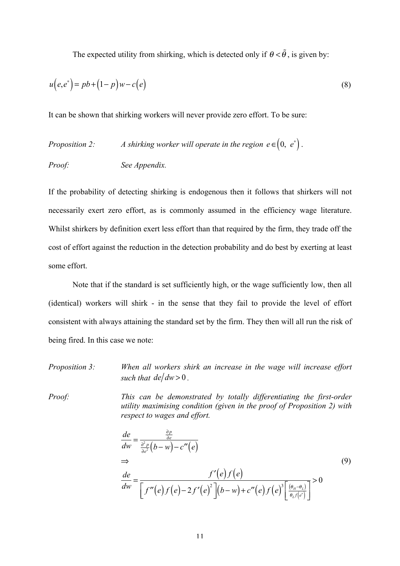The expected utility from shirking, which is detected only if  $\theta < \tilde{\theta}$ , is given by:

$$
u(e,e^*) = pb + (1-p)w - c(e)
$$
\n(8)

It can be shown that shirking workers will never provide zero effort. To be sure:

Proposition 2: *A shirking worker will operate in the region* 
$$
e \in (0, e^*)
$$
.  
Proof: *See Appendix.*

If the probability of detecting shirking is endogenous then it follows that shirkers will not necessarily exert zero effort, as is commonly assumed in the efficiency wage literature. Whilst shirkers by definition exert less effort than that required by the firm, they trade off the cost of effort against the reduction in the detection probability and do best by exerting at least some effort.

Note that if the standard is set sufficiently high, or the wage sufficiently low, then all (identical) workers will shirk - in the sense that they fail to provide the level of effort consistent with always attaining the standard set by the firm. They then will all run the risk of being fired. In this case we note:

*Proposition 3: When all workers shirk an increase in the wage will increase effort such that*  $de/dw > 0$ *.* 

*Proof: This can be demonstrated by totally differentiating the first-order utility maximising condition (given in the proof of Proposition 2) with respect to wages and effort.*

$$
\frac{de}{dw} = \frac{\frac{\partial p}{\partial e}}{\frac{\partial^2 p}{\partial e^2}(b - w) - c''(e)}
$$
\n
$$
\Rightarrow \frac{de}{dw} = \frac{f'(e)f(e)}{\left[f''(e)f(e) - 2f'(e)^2\right](b - w) + c''(e)f(e)^3\left[\frac{(\theta_h - \theta_L)}{\theta_L f(e^*)}\right]} > 0
$$
\n(9)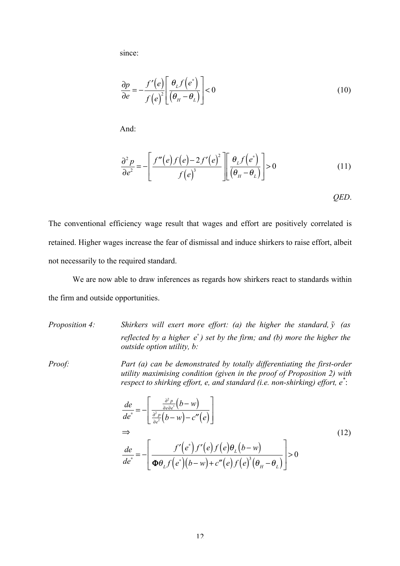since:

$$
\frac{\partial p}{\partial e} = -\frac{f'(e)}{f(e)^2} \left[ \frac{\theta_L f(e^*)}{(\theta_H - \theta_L)} \right] < 0 \tag{10}
$$

And:

$$
\frac{\partial^2 p}{\partial e^2} = -\left[\frac{f''(e)f(e) - 2f'(e)^2}{f(e)^3}\right] \left[\frac{\theta_L f(e^*)}{(\theta_H - \theta_L)}\right] > 0 \tag{11}
$$

*QED*.

The conventional efficiency wage result that wages and effort are positively correlated is retained. Higher wages increase the fear of dismissal and induce shirkers to raise effort, albeit not necessarily to the required standard.

We are now able to draw inferences as regards how shirkers react to standards within the firm and outside opportunities.

*Proposition 4: Shirkers will exert more effort: (a) the higher the standard, y (as reflected by a higher*  $e^*$ *) set by the firm; and (b) more the higher the outside option utility, b:*

*Proof: Part (a) can be demonstrated by totally differentiating the first-order utility maximising condition (given in the proof of Proposition 2) with respect to shirking effort, e, and standard (i.e. non-shirking) effort, e \** :

$$
\frac{de}{de^*} = -\left[\frac{\frac{\partial^2 p}{\partial e \partial e^*}(b - w)}{\frac{\partial^2 p}{\partial e^2}(b - w) - c''(e)}\right]
$$
\n
$$
\Rightarrow
$$
\n
$$
\frac{de}{de^*} = -\left[\frac{f'(e^*) f'(e) f(e) \theta_L(b - w)}{\Phi e_L f(e^*) (b - w) + c''(e) f(e)^3 (\theta_H - \theta_L)}\right] > 0
$$
\n(12)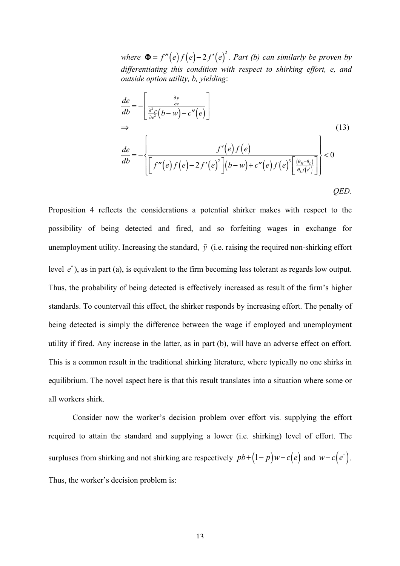*where*  $\Phi = f''(e) f(e) - 2 f'(e)^2$ . *Part (b) can similarly be proven by differentiating this condition with respect to shirking effort, e, and outside option utility, b, yielding*:

$$
\frac{de}{db} = -\left[\frac{\frac{\partial p}{\partial e}}{\frac{\partial^2 p}{\partial e^2}(b - w) - c''(e)}\right]
$$
\n
$$
\Rightarrow \frac{de}{db} = -\left\{\frac{f'(e)f(e)}{\left[f''(e)f(e) - 2f'(e)^2\right](b - w) + c''(e)f(e)^3\left[\frac{(\theta_H - \theta_L)}{\theta_L f(e^*)}\right]}\right\} < 0
$$
\n(13)

\n(2ED.

Proposition 4 reflects the considerations a potential shirker makes with respect to the possibility of being detected and fired, and so forfeiting wages in exchange for unemployment utility. Increasing the standard,  $\tilde{y}$  (i.e. raising the required non-shirking effort level  $e^*$ ), as in part (a), is equivalent to the firm becoming less tolerant as regards low output. Thus, the probability of being detected is effectively increased as result of the firm's higher standards. To countervail this effect, the shirker responds by increasing effort. The penalty of being detected is simply the difference between the wage if employed and unemployment utility if fired. Any increase in the latter, as in part (b), will have an adverse effect on effort. This is a common result in the traditional shirking literature, where typically no one shirks in equilibrium. The novel aspect here is that this result translates into a situation where some or all workers shirk.

Consider now the worker's decision problem over effort vis. supplying the effort required to attain the standard and supplying a lower (i.e. shirking) level of effort. The surpluses from shirking and not shirking are respectively  $pb+(1-p)w-c(e)$  and  $w-c(e^*)$ . Thus, the worker's decision problem is: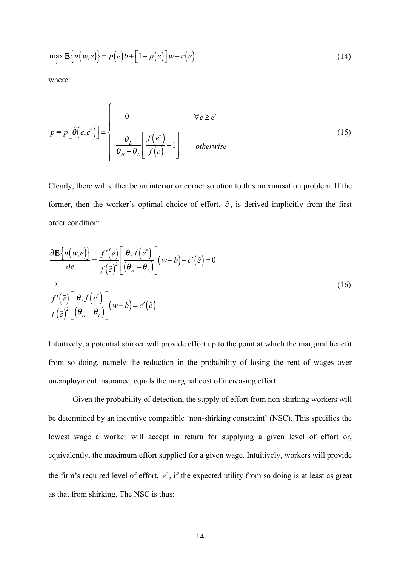$$
\max_{e} \mathbf{E}\left\{u(w,e)\right\} = p(e)b + \left[1 - p(e)\right]w - c(e)
$$
\n(14)

where:

$$
p \equiv p \left[ \tilde{\theta} \left( e, e^* \right) \right] = \begin{cases} 0 & \forall e \ge e^* \\ \frac{\theta_L}{\theta_H - \theta_L} \left[ \frac{f(e^*)}{f(e)} - 1 \right] & \text{otherwise} \end{cases}
$$
 (15)

Clearly, there will either be an interior or corner solution to this maximisation problem. If the former, then the worker's optimal choice of effort,  $\tilde{e}$ , is derived implicitly from the first order condition:

$$
\frac{\partial \mathbf{E}\left\{u(w,e)\right\}}{\partial e} = \frac{f'(\tilde{e})}{f(\tilde{e})^2} \left[\frac{\theta_L f(e^*)}{(\theta_H - \theta_L)}\right](w - b) - c'(\tilde{e}) = 0
$$
\n
$$
\Rightarrow
$$
\n
$$
\frac{f'(\tilde{e})}{f(\tilde{e})^2} \left[\frac{\theta_L f(e^*)}{(\theta_H - \theta_L)}\right](w - b) = c'(\tilde{e})
$$
\n(16)

Intuitively, a potential shirker will provide effort up to the point at which the marginal benefit from so doing, namely the reduction in the probability of losing the rent of wages over unemployment insurance, equals the marginal cost of increasing effort.

Given the probability of detection, the supply of effort from non-shirking workers will be determined by an incentive compatible 'non-shirking constraint' (NSC). This specifies the lowest wage a worker will accept in return for supplying a given level of effort or, equivalently, the maximum effort supplied for a given wage. Intuitively, workers will provide the firm's required level of effort,  $e^*$ , if the expected utility from so doing is at least as great as that from shirking. The NSC is thus: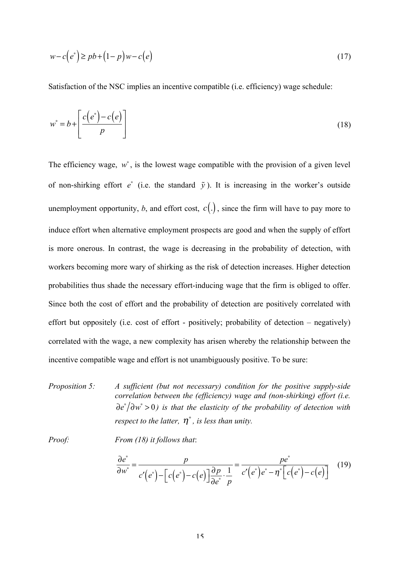$$
w - c(e^*) \ge pb + (1 - p)w - c(e)
$$
\n<sup>(17)</sup>

Satisfaction of the NSC implies an incentive compatible (i.e. efficiency) wage schedule:

$$
w^* = b + \left[ \frac{c(e^*) - c(e)}{p} \right] \tag{18}
$$

The efficiency wage,  $w^*$ , is the lowest wage compatible with the provision of a given level of non-shirking effort  $e^*$  (i.e. the standard  $\tilde{y}$ ). It is increasing in the worker's outside unemployment opportunity, *b*, and effort cost,  $c(.)$ , since the firm will have to pay more to induce effort when alternative employment prospects are good and when the supply of effort is more onerous. In contrast, the wage is decreasing in the probability of detection, with workers becoming more wary of shirking as the risk of detection increases. Higher detection probabilities thus shade the necessary effort-inducing wage that the firm is obliged to offer. Since both the cost of effort and the probability of detection are positively correlated with effort but oppositely (i.e. cost of effort - positively; probability of detection – negatively) correlated with the wage, a new complexity has arisen whereby the relationship between the incentive compatible wage and effort is not unambiguously positive. To be sure:

*Proposition 5: A sufficient (but not necessary) condition for the positive supply-side correlation between the (efficiency) wage and (non-shirking) effort (i.e.* ∂e<sup>\*</sup>/∂w<sup>\*</sup> > 0) is that the elasticity of the probability of detection with *respect to the latter,*  $\eta^*$ , *is less than unity.* 

*Proof: From (18) it follows that*:

$$
\frac{\partial e^*}{\partial w^*} = \frac{p}{c'(e^*) - \left[c(e^*) - c(e)\right] \frac{\partial p}{\partial e^*} \cdot \frac{1}{p}} = \frac{pe^*}{c'(e^*)e^* - \eta^*\left[c(e^*) - c(e)\right]} \tag{19}
$$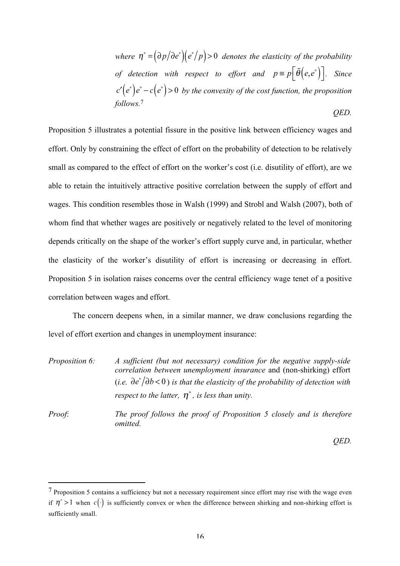$where \eta^* = (\partial p / \partial e^*) (e^* / p) > 0$  *denotes the elasticity of the probability of detection with respect to effort and*  $p \equiv p \left[ \tilde{\theta} \left( e, e^* \right) \right]$ *. Since*  $c'(e^*)e^*-c(e^*)$  > 0 *by the convexity of the cost function, the proposition follows.*7 *QED.*

Proposition 5 illustrates a potential fissure in the positive link between efficiency wages and effort. Only by constraining the effect of effort on the probability of detection to be relatively small as compared to the effect of effort on the worker's cost (i.e. disutility of effort), are we able to retain the intuitively attractive positive correlation between the supply of effort and wages. This condition resembles those in Walsh (1999) and Strobl and Walsh (2007), both of whom find that whether wages are positively or negatively related to the level of monitoring depends critically on the shape of the worker's effort supply curve and, in particular, whether the elasticity of the worker's disutility of effort is increasing or decreasing in effort. Proposition 5 in isolation raises concerns over the central efficiency wage tenet of a positive correlation between wages and effort.

The concern deepens when, in a similar manner, we draw conclusions regarding the level of effort exertion and changes in unemployment insurance:

- *Proposition 6: A sufficient (but not necessary) condition for the negative supply-side correlation between unemployment insurance* and (non-shirking) effort (*i.e.* ∂*e* <sup>∗</sup> ∂*b* < 0 ) *is that the elasticity of the probability of detection with respect to the latter,*  $\eta^*$ , *is less than unity.*
- *Proof*: *The proof follows the proof of Proposition 5 closely and is therefore omitted.*

*QED.*

<u> 1989 - Jan Samuel Barbara, margaret e</u>

<sup>7</sup> Proposition 5 contains a sufficiency but not a necessary requirement since effort may rise with the wage even if  $\eta^*$  >1 when *c*(⋅) is sufficiently convex or when the difference between shirking and non-shirking effort is sufficiently small.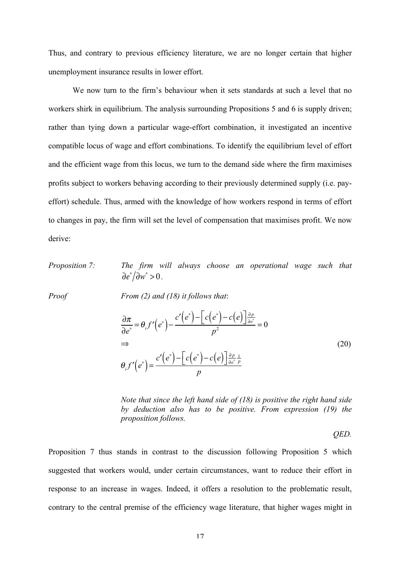Thus, and contrary to previous efficiency literature, we are no longer certain that higher unemployment insurance results in lower effort.

We now turn to the firm's behaviour when it sets standards at such a level that no workers shirk in equilibrium. The analysis surrounding Propositions 5 and 6 is supply driven; rather than tying down a particular wage-effort combination, it investigated an incentive compatible locus of wage and effort combinations. To identify the equilibrium level of effort and the efficient wage from this locus, we turn to the demand side where the firm maximises profits subject to workers behaving according to their previously determined supply (i.e. payeffort) schedule. Thus, armed with the knowledge of how workers respond in terms of effort to changes in pay, the firm will set the level of compensation that maximises profit. We now derive:

#### *Proposition 7: The firm will always choose an operational wage such that* ∂*e* <sup>∗</sup> ∂*w*<sup>∗</sup> > 0 *.*

*Proof From (2) and (18) it follows that*:

$$
\frac{\partial \pi}{\partial e^*} = \theta_i f'(e^*) - \frac{c'(e^*) - [c(e^*) - c(e)]\frac{\partial p}{\partial e^*}}{p^2} = 0
$$
\n
$$
\Rightarrow \theta_i f'(e^*) = \frac{c'(e^*) - [c(e^*) - c(e)]\frac{\partial p}{\partial e^*} \frac{1}{p}}{p}
$$
\n(20)

*Note that since the left hand side of (18) is positive the right hand side by deduction also has to be positive. From expression (19) the proposition follows.*

*QED.*

Proposition 7 thus stands in contrast to the discussion following Proposition 5 which suggested that workers would, under certain circumstances, want to reduce their effort in response to an increase in wages. Indeed, it offers a resolution to the problematic result, contrary to the central premise of the efficiency wage literature, that higher wages might in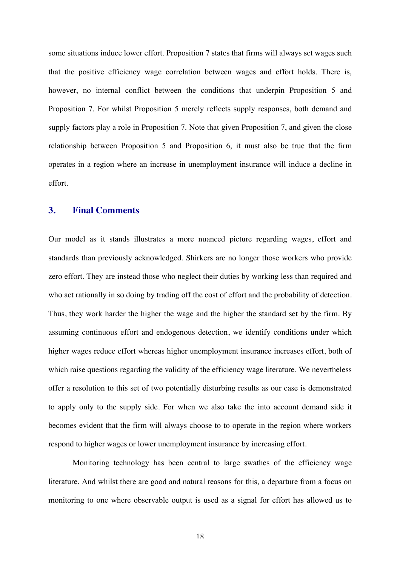some situations induce lower effort. Proposition 7 states that firms will always set wages such that the positive efficiency wage correlation between wages and effort holds. There is, however, no internal conflict between the conditions that underpin Proposition 5 and Proposition 7. For whilst Proposition 5 merely reflects supply responses, both demand and supply factors play a role in Proposition 7. Note that given Proposition 7, and given the close relationship between Proposition 5 and Proposition 6, it must also be true that the firm operates in a region where an increase in unemployment insurance will induce a decline in effort.

#### **3. Final Comments**

Our model as it stands illustrates a more nuanced picture regarding wages, effort and standards than previously acknowledged. Shirkers are no longer those workers who provide zero effort. They are instead those who neglect their duties by working less than required and who act rationally in so doing by trading off the cost of effort and the probability of detection. Thus, they work harder the higher the wage and the higher the standard set by the firm. By assuming continuous effort and endogenous detection, we identify conditions under which higher wages reduce effort whereas higher unemployment insurance increases effort, both of which raise questions regarding the validity of the efficiency wage literature. We nevertheless offer a resolution to this set of two potentially disturbing results as our case is demonstrated to apply only to the supply side. For when we also take the into account demand side it becomes evident that the firm will always choose to to operate in the region where workers respond to higher wages or lower unemployment insurance by increasing effort.

Monitoring technology has been central to large swathes of the efficiency wage literature. And whilst there are good and natural reasons for this, a departure from a focus on monitoring to one where observable output is used as a signal for effort has allowed us to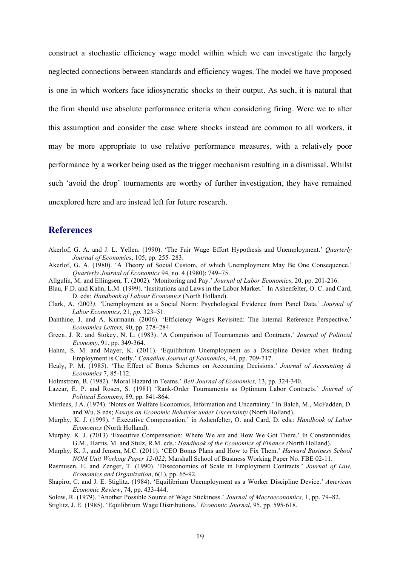construct a stochastic efficiency wage model within which we can investigate the largely neglected connections between standards and efficiency wages. The model we have proposed is one in which workers face idiosyncratic shocks to their output. As such, it is natural that the firm should use absolute performance criteria when considering firing. Were we to alter this assumption and consider the case where shocks instead are common to all workers, it may be more appropriate to use relative performance measures, with a relatively poor performance by a worker being used as the trigger mechanism resulting in a dismissal. Whilst such 'avoid the drop' tournaments are worthy of further investigation, they have remained unexplored here and are instead left for future research.

#### **References**

- Akerlof, G. A. and J. L. Yellen. (1990). 'The Fair Wage–Effort Hypothesis and Unemployment.' *Quarterly Journal of Economics*, 105, pp. 255–283.
- Akerlof, G. A. (1980). 'A Theory of Social Custom, of which Unemployment May Be One Consequence.' *Quarterly Journal of Economics* 94, no. 4 (1980): 749–75.
- Allgulin, M. and Ellingsen, T. (2002). 'Monitoring and Pay.' *Journal of Labor Economics*, 20, pp. 201-216.
- Blau, F.D. and Kahn, L.M. (1999). 'Institutions and Laws in the Labor Market.' In Ashenfelter, O. C. and Card, D. eds: *Handbook of Labour Economics* (North Holland).
- Clark, A. *(*2003*). '*Unemployment as a Social Norm: Psychological Evidence from Panel Data*.*' *Journal of Labor Economics*, 21*, pp.* 323*–*51*.*
- Danthine, J. and A. Kurmann. (2006). 'Efficiency Wages Revisited: The Internal Reference Perspective.' *Economics Letters,* 90, pp. 278–284
- Green, J. R. and Stokey, N. L. (1983). 'A Comparison of Tournaments and Contracts.' *Journal of Political Economy*, 91, pp. 349-364.
- Hahm, S. M. and Mayer, K. (2011). 'Equilibrium Unemployment as a Discipline Device when finding Employment is Costly.' *Canadian Journal of Economics*, 44, pp. 709-717.
- Healy, P. M. (1985). 'The Effect of Bonus Schemes on Accounting Decisions.' *Journal of Accounting & Economics* 7, 85-112.
- Holmstrom, B. (1982). 'Moral Hazard in Teams.' *Bell Journal of Economics,* 13, pp. 324-340.
- Lazear, E. P. and Rosen, S. (1981) 'Rank-Order Tournaments as Optimum Labor Contracts.' *Journal of Political Economy,* 89, pp. 841-864.
- Mirrlees, J.A. (1974). 'Notes on Welfare Economics, Information and Uncertainty.' In Balch, M., McFadden, D. and Wu, S eds; *Essays on Economic Behavior under Uncertainty* (North Holland).
- Murphy, K. J. (1999). ' Executive Compensation.' in Ashenfelter, O. and Card, D. eds.: *Handbook of Labor Economics* (North Holland).
- Murphy, K. J. (2013) 'Executive Compensation: Where We are and How We Got There.' In Constantinides, G.M., Harris, M. and Stulz, R.M. eds.: *Handbook of the Economics of Finance (*North Holland).
- Murphy, K. J., and Jensen, M.C. (2011). 'CEO Bonus Plans and How to Fix Them.' *Harvard Business School NOM Unit Working Paper 12-022*; Marshall School of Business Working Paper No. FBE 02-11.
- Rasmusen, E. and Zenger, T. (1990). 'Diseconomies of Scale in Employment Contracts.' *Journal of Law, Economics and Organization*, 6(1), pp. 65-92.
- Shapiro, C. and J. E. Stiglitz. (1984). 'Equilibrium Unemployment as a Worker Discipline Device.' *American Economic Review*, 74, pp. 433-444.
- Solow, R. (1979). 'Another Possible Source of Wage Stickiness.' *Journal of Macroeconomics,* 1, pp. 79–82.
- Stiglitz, J. E. (1985). 'Equilibrium Wage Distributions.' *Economic Journal*, 95, pp. 595-618.